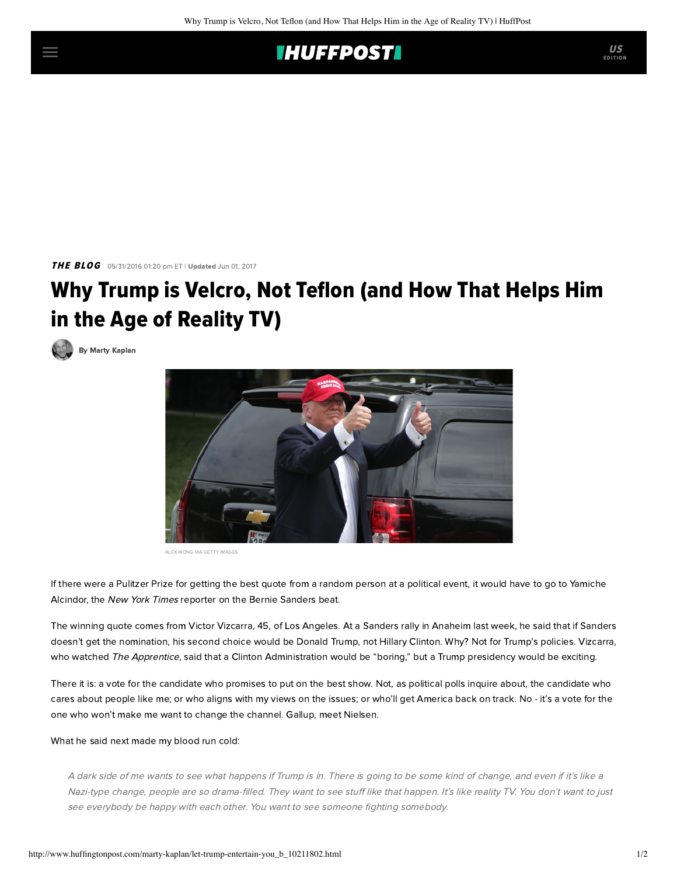

**THE BLOG** 05/31/2016 01:20 pm ET | Updated Jun 01, 2017

## Why Trump is Velcro, Not Teflon (and How That Helps Him in the Age of Reality TV)

[By Marty Kaplan](http://www.huffingtonpost.com/author/marty-kaplan)



ALEX WONG VIA GETTY IMAGES

If there were a Pulitzer Prize for getting the best quote from a random person at a political event, it would have to go to Yamiche Alcindor, the New York Times reporter on the Bernie Sanders beat.

The winning quote comes from Victor Vizcarra, 45, of Los Angeles. At a Sanders rally in Anaheim last week, he [said](http://www.nytimes.com/2016/05/28/us/politics/bernie-sanders-hillary-clinton-fbi.html?_r=2) that if Sanders doesn't get the nomination, his second choice would be Donald Trump, not Hillary Clinton. Why? Not for Trump's policies. Vizcarra, who watched The Apprentice, said that a Clinton Administration would be "boring," but a Trump presidency would be exciting.

There it is: a vote for the candidate who promises to put on the best show. Not, as political polls inquire about, the candidate who cares about people like me; or who aligns with my views on the issues; or who'll get America back on track. No - it's a vote for the one who won't make me want to change the channel. Gallup, meet Nielsen.

## What he said next made my blood run cold:

A dark side of me wants to see what happens if Trump is in. There is going to be some kind of change, and even if it's like a Nazi-type change, people are so drama-filled. They want to see stuff like that happen. It's like reality TV. You don't want to just see everybody be happy with each other. You want to see someone fighting somebody.

US